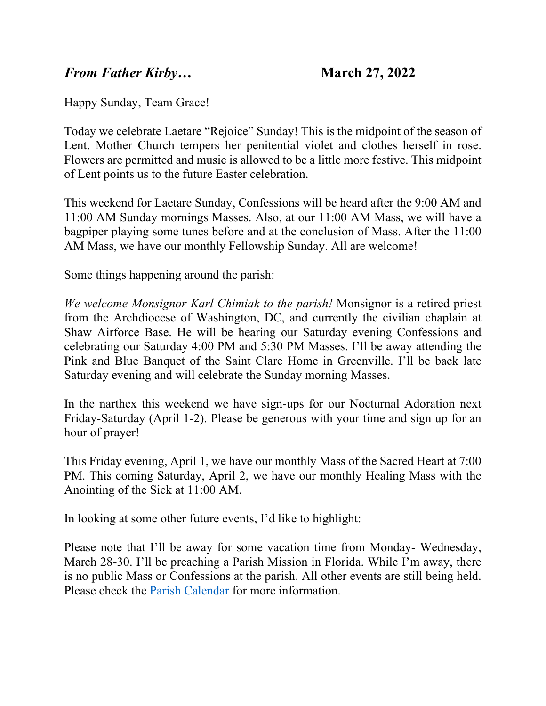## *From Father Kirby…* **March 27, 2022**

Happy Sunday, Team Grace!

Today we celebrate Laetare "Rejoice" Sunday! This is the midpoint of the season of Lent. Mother Church tempers her penitential violet and clothes herself in rose. Flowers are permitted and music is allowed to be a little more festive. This midpoint of Lent points us to the future Easter celebration.

This weekend for Laetare Sunday, Confessions will be heard after the 9:00 AM and 11:00 AM Sunday mornings Masses. Also, at our 11:00 AM Mass, we will have a bagpiper playing some tunes before and at the conclusion of Mass. After the 11:00 AM Mass, we have our monthly Fellowship Sunday. All are welcome!

Some things happening around the parish:

*We welcome Monsignor Karl Chimiak to the parish!* Monsignor is a retired priest from the Archdiocese of Washington, DC, and currently the civilian chaplain at Shaw Airforce Base. He will be hearing our Saturday evening Confessions and celebrating our Saturday 4:00 PM and 5:30 PM Masses. I'll be away attending the Pink and Blue Banquet of the Saint Clare Home in Greenville. I'll be back late Saturday evening and will celebrate the Sunday morning Masses.

In the narthex this weekend we have sign-ups for our Nocturnal Adoration next Friday-Saturday (April 1-2). Please be generous with your time and sign up for an hour of prayer!

This Friday evening, April 1, we have our monthly Mass of the Sacred Heart at 7:00 PM. This coming Saturday, April 2, we have our monthly Healing Mass with the Anointing of the Sick at 11:00 AM.

In looking at some other future events, I'd like to highlight:

Please note that I'll be away for some vacation time from Monday- Wednesday, March 28-30. I'll be preaching a Parish Mission in Florida. While I'm away, there is no public Mass or Confessions at the parish. All other events are still being held. Please check the [Parish Calendar](https://gracewepray.org/calendar/) for more information.